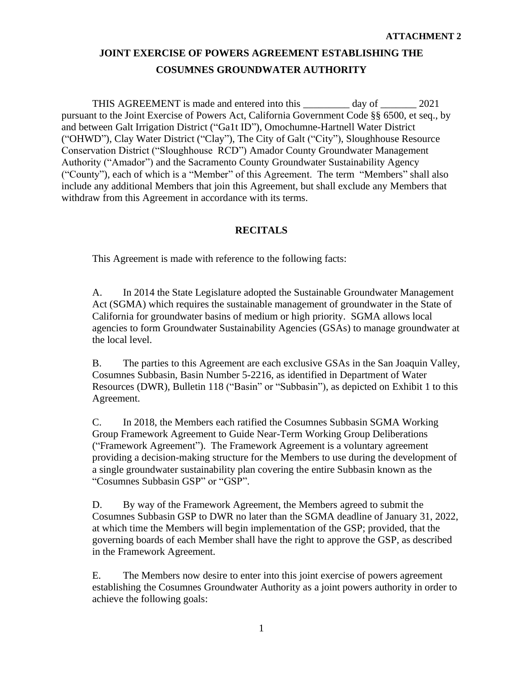THIS AGREEMENT is made and entered into this day of 2021 pursuant to the Joint Exercise of Powers Act, California Government Code §§ 6500, et seq., by and between Galt Irrigation District ("Ga1t ID"), Omochumne-Hartnell Water District ("OHWD"), Clay Water District ("Clay"), The City of Galt ("City"), Sloughhouse Resource Conservation District ("Sloughhouse RCD") Amador County Groundwater Management Authority ("Amador") and the Sacramento County Groundwater Sustainability Agency ("County"), each of which is a "Member" of this Agreement. The term "Members" shall also include any additional Members that join this Agreement, but shall exclude any Members that withdraw from this Agreement in accordance with its terms.

# **RECITALS**

This Agreement is made with reference to the following facts:

A. In 2014 the State Legislature adopted the Sustainable Groundwater Management Act (SGMA) which requires the sustainable management of groundwater in the State of California for groundwater basins of medium or high priority. SGMA allows local agencies to form Groundwater Sustainability Agencies (GSAs) to manage groundwater at the local level.

B. The parties to this Agreement are each exclusive GSAs in the San Joaquin Valley, Cosumnes Subbasin, Basin Number 5-2216, as identified in Department of Water Resources (DWR), Bulletin 118 ("Basin" or "Subbasin"), as depicted on Exhibit 1 to this Agreement.

C. In 2018, the Members each ratified the Cosumnes Subbasin SGMA Working Group Framework Agreement to Guide Near-Term Working Group Deliberations ("Framework Agreement"). The Framework Agreement is a voluntary agreement providing a decision-making structure for the Members to use during the development of a single groundwater sustainability plan covering the entire Subbasin known as the "Cosumnes Subbasin GSP" or "GSP".

D. By way of the Framework Agreement, the Members agreed to submit the Cosumnes Subbasin GSP to DWR no later than the SGMA deadline of January 31, 2022, at which time the Members will begin implementation of the GSP; provided, that the governing boards of each Member shall have the right to approve the GSP, as described in the Framework Agreement.

E. The Members now desire to enter into this joint exercise of powers agreement establishing the Cosumnes Groundwater Authority as a joint powers authority in order to achieve the following goals: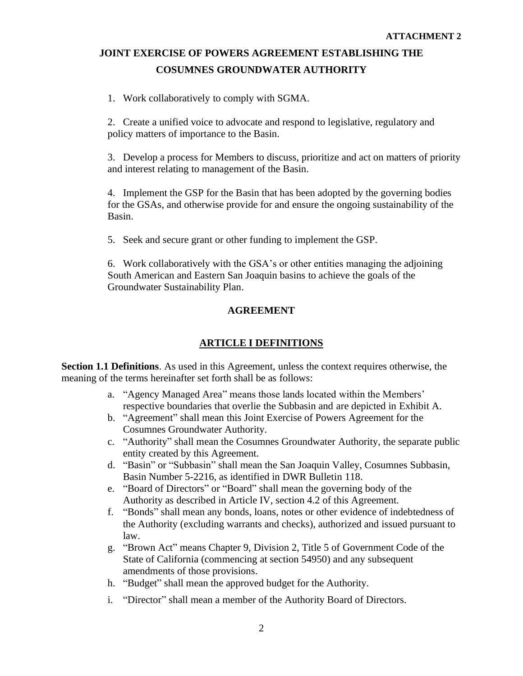1. Work collaboratively to comply with SGMA.

2. Create a unified voice to advocate and respond to legislative, regulatory and policy matters of importance to the Basin.

3. Develop a process for Members to discuss, prioritize and act on matters of priority and interest relating to management of the Basin.

4. Implement the GSP for the Basin that has been adopted by the governing bodies for the GSAs, and otherwise provide for and ensure the ongoing sustainability of the Basin.

5. Seek and secure grant or other funding to implement the GSP.

6. Work collaboratively with the GSA's or other entities managing the adjoining South American and Eastern San Joaquin basins to achieve the goals of the Groundwater Sustainability Plan.

# **AGREEMENT**

# **ARTICLE I DEFINITIONS**

**Section 1.1 Definitions**. As used in this Agreement, unless the context requires otherwise, the meaning of the terms hereinafter set forth shall be as follows:

- a. "Agency Managed Area" means those lands located within the Members' respective boundaries that overlie the Subbasin and are depicted in Exhibit A.
- b. "Agreement" shall mean this Joint Exercise of Powers Agreement for the Cosumnes Groundwater Authority.
- c. "Authority" shall mean the Cosumnes Groundwater Authority, the separate public entity created by this Agreement.
- d. "Basin" or "Subbasin" shall mean the San Joaquin Valley, Cosumnes Subbasin, Basin Number 5-2216, as identified in DWR Bulletin 118.
- e. "Board of Directors" or "Board" shall mean the governing body of the Authority as described in Article IV, section 4.2 of this Agreement.
- f. "Bonds" shall mean any bonds, loans, notes or other evidence of indebtedness of the Authority (excluding warrants and checks), authorized and issued pursuant to law.
- g. "Brown Act" means Chapter 9, Division 2, Title 5 of Government Code of the State of California (commencing at section 54950) and any subsequent amendments of those provisions.
- h. "Budget" shall mean the approved budget for the Authority.
- i. "Director" shall mean a member of the Authority Board of Directors.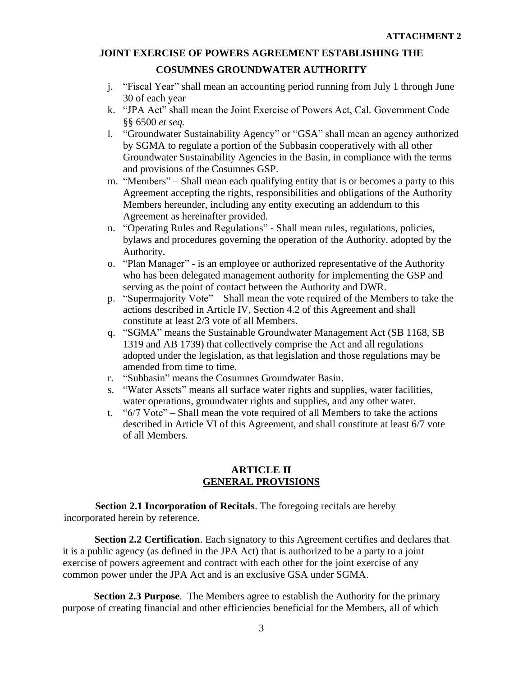# **COSUMNES GROUNDWATER AUTHORITY**

- j. "Fiscal Year" shall mean an accounting period running from July 1 through June 30 of each year
- k. "JPA Act" shall mean the Joint Exercise of Powers Act, Cal. Government Code §§ 6500 *et seq.*
- l. "Groundwater Sustainability Agency" or "GSA" shall mean an agency authorized by SGMA to regulate a portion of the Subbasin cooperatively with all other Groundwater Sustainability Agencies in the Basin, in compliance with the terms and provisions of the Cosumnes GSP.
- m. "Members" Shall mean each qualifying entity that is or becomes a party to this Agreement accepting the rights, responsibilities and obligations of the Authority Members hereunder, including any entity executing an addendum to this Agreement as hereinafter provided.
- n. "Operating Rules and Regulations" Shall mean rules, regulations, policies, bylaws and procedures governing the operation of the Authority, adopted by the Authority.
- o. "Plan Manager" is an employee or authorized representative of the Authority who has been delegated management authority for implementing the GSP and serving as the point of contact between the Authority and DWR.
- p. "Supermajority Vote" Shall mean the vote required of the Members to take the actions described in Article IV, Section 4.2 of this Agreement and shall constitute at least 2/3 vote of all Members.
- q. "SGMA" means the Sustainable Groundwater Management Act (SB 1168, SB 1319 and AB 1739) that collectively comprise the Act and all regulations adopted under the legislation, as that legislation and those regulations may be amended from time to time.
- r. "Subbasin" means the Cosumnes Groundwater Basin.
- s. "Water Assets" means all surface water rights and supplies, water facilities, water operations, groundwater rights and supplies, and any other water.
- t. "6/7 Vote" Shall mean the vote required of all Members to take the actions described in Article VI of this Agreement, and shall constitute at least 6/7 vote of all Members.

# **ARTICLE II GENERAL PROVISIONS**

**Section 2.1 Incorporation of Recitals**. The foregoing recitals are hereby incorporated herein by reference.

**Section 2.2 Certification**. Each signatory to this Agreement certifies and declares that it is a public agency (as defined in the JPA Act) that is authorized to be a party to a joint exercise of powers agreement and contract with each other for the joint exercise of any common power under the JPA Act and is an exclusive GSA under SGMA.

**Section 2.3 Purpose**. The Members agree to establish the Authority for the primary purpose of creating financial and other efficiencies beneficial for the Members, all of which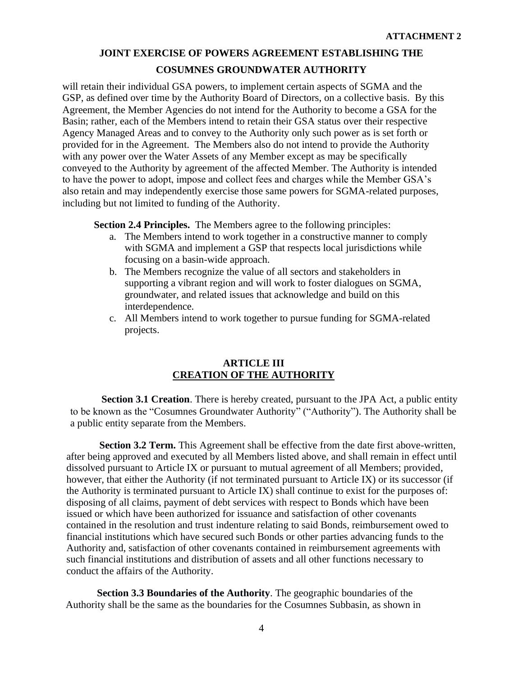will retain their individual GSA powers, to implement certain aspects of SGMA and the GSP, as defined over time by the Authority Board of Directors, on a collective basis. By this Agreement, the Member Agencies do not intend for the Authority to become a GSA for the Basin; rather, each of the Members intend to retain their GSA status over their respective Agency Managed Areas and to convey to the Authority only such power as is set forth or provided for in the Agreement. The Members also do not intend to provide the Authority with any power over the Water Assets of any Member except as may be specifically conveyed to the Authority by agreement of the affected Member. The Authority is intended to have the power to adopt, impose and collect fees and charges while the Member GSA's also retain and may independently exercise those same powers for SGMA-related purposes, including but not limited to funding of the Authority.

**Section 2.4 Principles.** The Members agree to the following principles:

- a. The Members intend to work together in a constructive manner to comply with SGMA and implement a GSP that respects local jurisdictions while focusing on a basin-wide approach.
- b. The Members recognize the value of all sectors and stakeholders in supporting a vibrant region and will work to foster dialogues on SGMA, groundwater, and related issues that acknowledge and build on this interdependence.
- c. All Members intend to work together to pursue funding for SGMA-related projects.

#### **ARTICLE III CREATION OF THE AUTHORITY**

**Section 3.1 Creation**. There is hereby created, pursuant to the JPA Act, a public entity to be known as the "Cosumnes Groundwater Authority" ("Authority"). The Authority shall be a public entity separate from the Members.

**Section 3.2 Term.** This Agreement shall be effective from the date first above-written, after being approved and executed by all Members listed above, and shall remain in effect until dissolved pursuant to Article IX or pursuant to mutual agreement of all Members; provided, however, that either the Authority (if not terminated pursuant to Article IX) or its successor (if the Authority is terminated pursuant to Article IX) shall continue to exist for the purposes of: disposing of all claims, payment of debt services with respect to Bonds which have been issued or which have been authorized for issuance and satisfaction of other covenants contained in the resolution and trust indenture relating to said Bonds, reimbursement owed to financial institutions which have secured such Bonds or other parties advancing funds to the Authority and, satisfaction of other covenants contained in reimbursement agreements with such financial institutions and distribution of assets and all other functions necessary to conduct the affairs of the Authority.

**Section 3.3 Boundaries of the Authority**. The geographic boundaries of the Authority shall be the same as the boundaries for the Cosumnes Subbasin, as shown in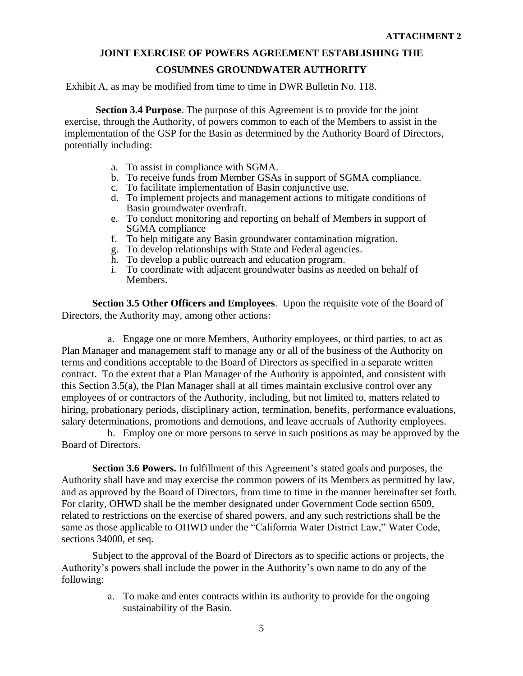# **COSUMNES GROUNDWATER AUTHORITY**

Exhibit A, as may be modified from time to time in DWR Bulletin No. 118.

**Section 3.4 Purpose.** The purpose of this Agreement is to provide for the joint exercise, through the Authority, of powers common to each of the Members to assist in the implementation of the GSP for the Basin as determined by the Authority Board of Directors, potentially including:

- a. To assist in compliance with SGMA.
- b. To receive funds from Member GSAs in support of SGMA compliance.
- c. To facilitate implementation of Basin conjunctive use.
- d. To implement projects and management actions to mitigate conditions of Basin groundwater overdraft.
- e. To conduct monitoring and reporting on behalf of Members in support of SGMA compliance
- f. To help mitigate any Basin groundwater contamination migration.
- g. To develop relationships with State and Federal agencies.
- h. To develop a public outreach and education program.
- i. To coordinate with adjacent groundwater basins as needed on behalf of Members.

**Section 3.5 Other Officers and Employees**. Upon the requisite vote of the Board of Directors, the Authority may, among other actions:

a. Engage one or more Members, Authority employees, or third parties, to act as Plan Manager and management staff to manage any or all of the business of the Authority on terms and conditions acceptable to the Board of Directors as specified in a separate written contract. To the extent that a Plan Manager of the Authority is appointed, and consistent with this Section 3.5(a), the Plan Manager shall at all times maintain exclusive control over any employees of or contractors of the Authority, including, but not limited to, matters related to hiring, probationary periods, disciplinary action, termination, benefits, performance evaluations, salary determinations, promotions and demotions, and leave accruals of Authority employees.

b. Employ one or more persons to serve in such positions as may be approved by the Board of Directors.

**Section 3.6 Powers.** In fulfillment of this Agreement's stated goals and purposes, the Authority shall have and may exercise the common powers of its Members as permitted by law, and as approved by the Board of Directors, from time to time in the manner hereinafter set forth. For clarity, OHWD shall be the member designated under Government Code section 6509, related to restrictions on the exercise of shared powers, and any such restrictions shall be the same as those applicable to OHWD under the "California Water District Law," Water Code, sections 34000, et seq.

Subject to the approval of the Board of Directors as to specific actions or projects, the Authority's powers shall include the power in the Authority's own name to do any of the following:

> a. To make and enter contracts within its authority to provide for the ongoing sustainability of the Basin.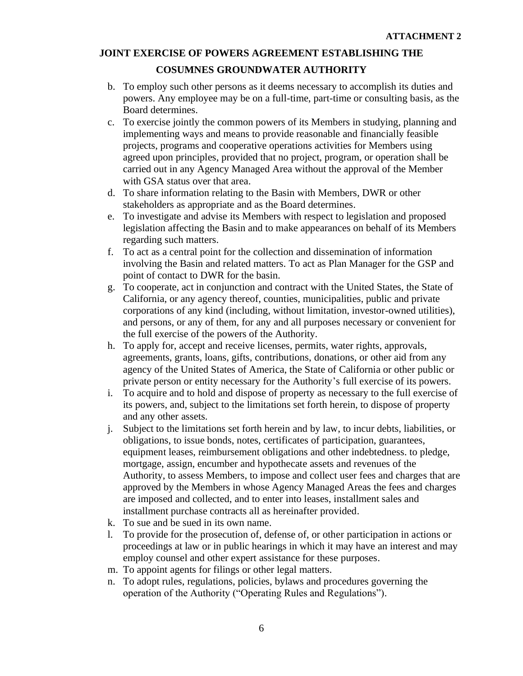# **COSUMNES GROUNDWATER AUTHORITY**

- b. To employ such other persons as it deems necessary to accomplish its duties and powers. Any employee may be on a full-time, part-time or consulting basis, as the Board determines.
- c. To exercise jointly the common powers of its Members in studying, planning and implementing ways and means to provide reasonable and financially feasible projects, programs and cooperative operations activities for Members using agreed upon principles, provided that no project, program, or operation shall be carried out in any Agency Managed Area without the approval of the Member with GSA status over that area.
- d. To share information relating to the Basin with Members, DWR or other stakeholders as appropriate and as the Board determines.
- e. To investigate and advise its Members with respect to legislation and proposed legislation affecting the Basin and to make appearances on behalf of its Members regarding such matters.
- f. To act as a central point for the collection and dissemination of information involving the Basin and related matters. To act as Plan Manager for the GSP and point of contact to DWR for the basin.
- g. To cooperate, act in conjunction and contract with the United States, the State of California, or any agency thereof, counties, municipalities, public and private corporations of any kind (including, without limitation, investor-owned utilities), and persons, or any of them, for any and all purposes necessary or convenient for the full exercise of the powers of the Authority.
- h. To apply for, accept and receive licenses, permits, water rights, approvals, agreements, grants, loans, gifts, contributions, donations, or other aid from any agency of the United States of America, the State of California or other public or private person or entity necessary for the Authority's full exercise of its powers.
- i. To acquire and to hold and dispose of property as necessary to the full exercise of its powers, and, subject to the limitations set forth herein, to dispose of property and any other assets.
- j. Subject to the limitations set forth herein and by law, to incur debts, liabilities, or obligations, to issue bonds, notes, certificates of participation, guarantees, equipment leases, reimbursement obligations and other indebtedness. to pledge, mortgage, assign, encumber and hypothecate assets and revenues of the Authority, to assess Members, to impose and collect user fees and charges that are approved by the Members in whose Agency Managed Areas the fees and charges are imposed and collected, and to enter into leases, installment sales and installment purchase contracts all as hereinafter provided.
- k. To sue and be sued in its own name.
- l. To provide for the prosecution of, defense of, or other participation in actions or proceedings at law or in public hearings in which it may have an interest and may employ counsel and other expert assistance for these purposes.
- m. To appoint agents for filings or other legal matters.
- n. To adopt rules, regulations, policies, bylaws and procedures governing the operation of the Authority ("Operating Rules and Regulations").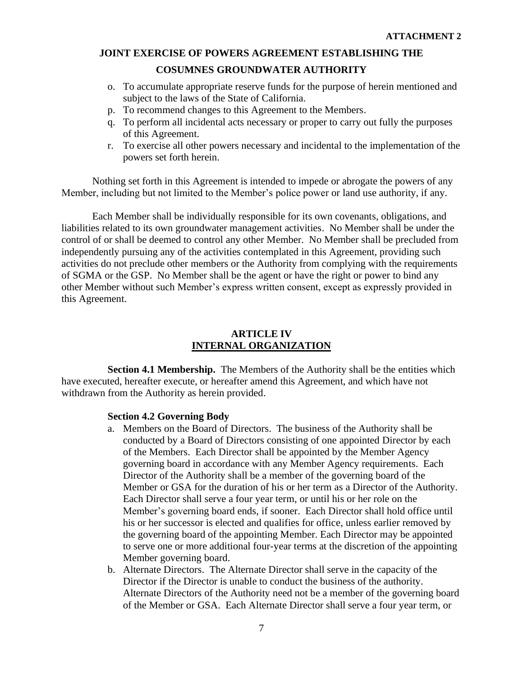#### **COSUMNES GROUNDWATER AUTHORITY**

- o. To accumulate appropriate reserve funds for the purpose of herein mentioned and subject to the laws of the State of California.
- p. To recommend changes to this Agreement to the Members.
- q. To perform all incidental acts necessary or proper to carry out fully the purposes of this Agreement.
- r. To exercise all other powers necessary and incidental to the implementation of the powers set forth herein.

Nothing set forth in this Agreement is intended to impede or abrogate the powers of any Member, including but not limited to the Member's police power or land use authority, if any.

Each Member shall be individually responsible for its own covenants, obligations, and liabilities related to its own groundwater management activities. No Member shall be under the control of or shall be deemed to control any other Member. No Member shall be precluded from independently pursuing any of the activities contemplated in this Agreement, providing such activities do not preclude other members or the Authority from complying with the requirements of SGMA or the GSP. No Member shall be the agent or have the right or power to bind any other Member without such Member's express written consent, except as expressly provided in this Agreement.

# **ARTICLE IV INTERNAL ORGANIZATION**

**Section 4.1 Membership.** The Members of the Authority shall be the entities which have executed, hereafter execute, or hereafter amend this Agreement, and which have not withdrawn from the Authority as herein provided.

#### **Section 4.2 Governing Body**

- a. Members on the Board of Directors. The business of the Authority shall be conducted by a Board of Directors consisting of one appointed Director by each of the Members. Each Director shall be appointed by the Member Agency governing board in accordance with any Member Agency requirements. Each Director of the Authority shall be a member of the governing board of the Member or GSA for the duration of his or her term as a Director of the Authority. Each Director shall serve a four year term, or until his or her role on the Member's governing board ends, if sooner. Each Director shall hold office until his or her successor is elected and qualifies for office, unless earlier removed by the governing board of the appointing Member. Each Director may be appointed to serve one or more additional four-year terms at the discretion of the appointing Member governing board.
- b. Alternate Directors. The Alternate Director shall serve in the capacity of the Director if the Director is unable to conduct the business of the authority. Alternate Directors of the Authority need not be a member of the governing board of the Member or GSA. Each Alternate Director shall serve a four year term, or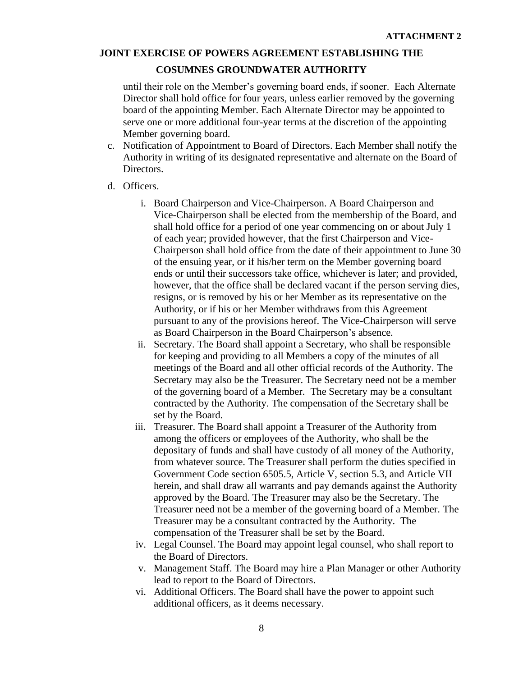#### **COSUMNES GROUNDWATER AUTHORITY**

until their role on the Member's governing board ends, if sooner. Each Alternate Director shall hold office for four years, unless earlier removed by the governing board of the appointing Member. Each Alternate Director may be appointed to serve one or more additional four-year terms at the discretion of the appointing Member governing board.

- c. Notification of Appointment to Board of Directors. Each Member shall notify the Authority in writing of its designated representative and alternate on the Board of Directors.
- d. Officers.
	- i. Board Chairperson and Vice-Chairperson. A Board Chairperson and Vice-Chairperson shall be elected from the membership of the Board, and shall hold office for a period of one year commencing on or about July 1 of each year; provided however, that the first Chairperson and Vice-Chairperson shall hold office from the date of their appointment to June 30 of the ensuing year, or if his/her term on the Member governing board ends or until their successors take office, whichever is later; and provided, however, that the office shall be declared vacant if the person serving dies, resigns, or is removed by his or her Member as its representative on the Authority, or if his or her Member withdraws from this Agreement pursuant to any of the provisions hereof. The Vice-Chairperson will serve as Board Chairperson in the Board Chairperson's absence.
	- ii. Secretary. The Board shall appoint a Secretary, who shall be responsible for keeping and providing to all Members a copy of the minutes of all meetings of the Board and all other official records of the Authority. The Secretary may also be the Treasurer. The Secretary need not be a member of the governing board of a Member. The Secretary may be a consultant contracted by the Authority. The compensation of the Secretary shall be set by the Board.
	- iii. Treasurer. The Board shall appoint a Treasurer of the Authority from among the officers or employees of the Authority, who shall be the depositary of funds and shall have custody of all money of the Authority, from whatever source. The Treasurer shall perform the duties specified in Government Code section 6505.5, Article V, section 5.3, and Article VII herein, and shall draw all warrants and pay demands against the Authority approved by the Board. The Treasurer may also be the Secretary. The Treasurer need not be a member of the governing board of a Member. The Treasurer may be a consultant contracted by the Authority. The compensation of the Treasurer shall be set by the Board.
	- iv. Legal Counsel. The Board may appoint legal counsel, who shall report to the Board of Directors.
	- v. Management Staff. The Board may hire a Plan Manager or other Authority lead to report to the Board of Directors.
	- vi. Additional Officers. The Board shall have the power to appoint such additional officers, as it deems necessary.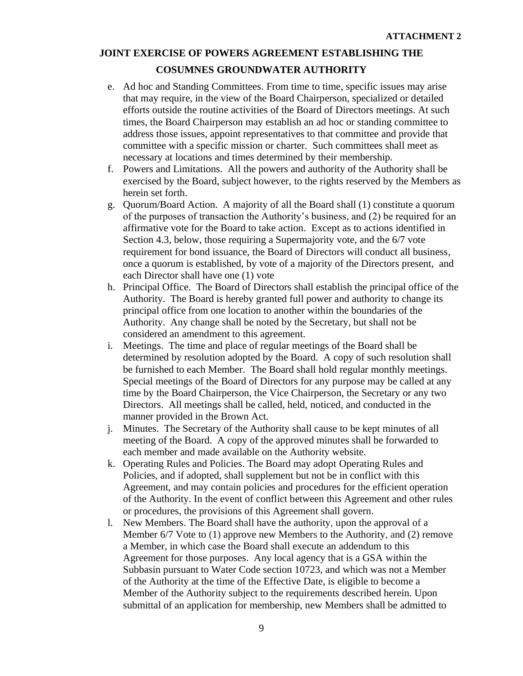# **COSUMNES GROUNDWATER AUTHORITY**

- e. Ad hoc and Standing Committees. From time to time, specific issues may arise that may require, in the view of the Board Chairperson, specialized or detailed efforts outside the routine activities of the Board of Directors meetings. At such times, the Board Chairperson may establish an ad hoc or standing committee to address those issues, appoint representatives to that committee and provide that committee with a specific mission or charter. Such committees shall meet as necessary at locations and times determined by their membership.
- f. Powers and Limitations. All the powers and authority of the Authority shall be exercised by the Board, subject however, to the rights reserved by the Members as herein set forth.
- g. Quorum/Board Action. A majority of all the Board shall (1) constitute a quorum of the purposes of transaction the Authority's business, and (2) be required for an affirmative vote for the Board to take action. Except as to actions identified in Section 4.3, below, those requiring a Supermajority vote, and the 6/7 vote requirement for bond issuance, the Board of Directors will conduct all business, once a quorum is established, by vote of a majority of the Directors present, and each Director shall have one (1) vote
- h. Principal Office. The Board of Directors shall establish the principal office of the Authority. The Board is hereby granted full power and authority to change its principal office from one location to another within the boundaries of the Authority. Any change shall be noted by the Secretary, but shall not be considered an amendment to this agreement.
- i. Meetings. The time and place of regular meetings of the Board shall be determined by resolution adopted by the Board. A copy of such resolution shall be furnished to each Member. The Board shall hold regular monthly meetings. Special meetings of the Board of Directors for any purpose may be called at any time by the Board Chairperson, the Vice Chairperson, the Secretary or any two Directors. All meetings shall be called, held, noticed, and conducted in the manner provided in the Brown Act.
- j. Minutes. The Secretary of the Authority shall cause to be kept minutes of all meeting of the Board. A copy of the approved minutes shall be forwarded to each member and made available on the Authority website.
- k. Operating Rules and Policies. The Board may adopt Operating Rules and Policies, and if adopted, shall supplement but not be in conflict with this Agreement, and may contain policies and procedures for the efficient operation of the Authority. In the event of conflict between this Agreement and other rules or procedures, the provisions of this Agreement shall govern.
- l. New Members. The Board shall have the authority, upon the approval of a Member 6/7 Vote to (1) approve new Members to the Authority, and (2) remove a Member, in which case the Board shall execute an addendum to this Agreement for those purposes. Any local agency that is a GSA within the Subbasin pursuant to Water Code section 10723, and which was not a Member of the Authority at the time of the Effective Date, is eligible to become a Member of the Authority subject to the requirements described herein. Upon submittal of an application for membership, new Members shall be admitted to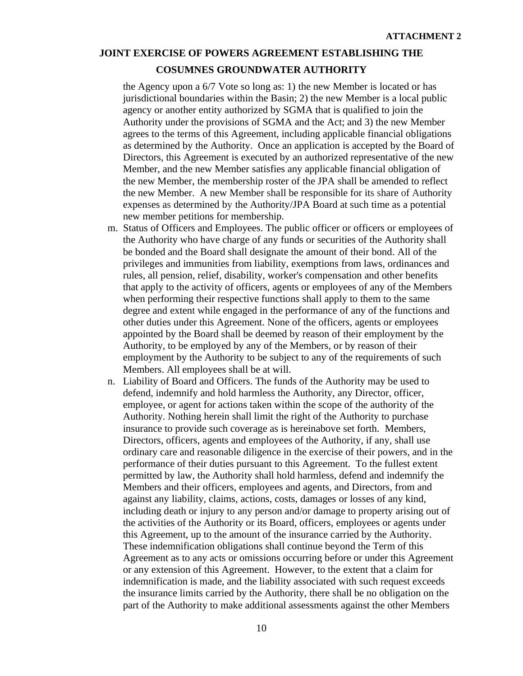#### **COSUMNES GROUNDWATER AUTHORITY**

the Agency upon a 6/7 Vote so long as: 1) the new Member is located or has jurisdictional boundaries within the Basin; 2) the new Member is a local public agency or another entity authorized by SGMA that is qualified to join the Authority under the provisions of SGMA and the Act; and 3) the new Member agrees to the terms of this Agreement, including applicable financial obligations as determined by the Authority. Once an application is accepted by the Board of Directors, this Agreement is executed by an authorized representative of the new Member, and the new Member satisfies any applicable financial obligation of the new Member, the membership roster of the JPA shall be amended to reflect the new Member. A new Member shall be responsible for its share of Authority expenses as determined by the Authority/JPA Board at such time as a potential new member petitions for membership.

- m. Status of Officers and Employees. The public officer or officers or employees of the Authority who have charge of any funds or securities of the Authority shall be bonded and the Board shall designate the amount of their bond. All of the privileges and immunities from liability, exemptions from laws, ordinances and rules, all pension, relief, disability, worker's compensation and other benefits that apply to the activity of officers, agents or employees of any of the Members when performing their respective functions shall apply to them to the same degree and extent while engaged in the performance of any of the functions and other duties under this Agreement. None of the officers, agents or employees appointed by the Board shall be deemed by reason of their employment by the Authority, to be employed by any of the Members, or by reason of their employment by the Authority to be subject to any of the requirements of such Members. All employees shall be at will.
- n. Liability of Board and Officers. The funds of the Authority may be used to defend, indemnify and hold harmless the Authority, any Director, officer, employee, or agent for actions taken within the scope of the authority of the Authority. Nothing herein shall limit the right of the Authority to purchase insurance to provide such coverage as is hereinabove set forth. Members, Directors, officers, agents and employees of the Authority, if any, shall use ordinary care and reasonable diligence in the exercise of their powers, and in the performance of their duties pursuant to this Agreement. To the fullest extent permitted by law, the Authority shall hold harmless, defend and indemnify the Members and their officers, employees and agents, and Directors, from and against any liability, claims, actions, costs, damages or losses of any kind, including death or injury to any person and/or damage to property arising out of the activities of the Authority or its Board, officers, employees or agents under this Agreement, up to the amount of the insurance carried by the Authority. These indemnification obligations shall continue beyond the Term of this Agreement as to any acts or omissions occurring before or under this Agreement or any extension of this Agreement. However, to the extent that a claim for indemnification is made, and the liability associated with such request exceeds the insurance limits carried by the Authority, there shall be no obligation on the part of the Authority to make additional assessments against the other Members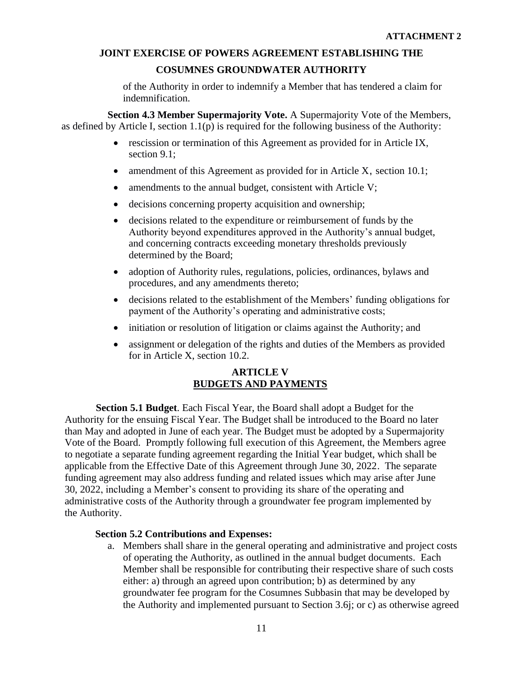**COSUMNES GROUNDWATER AUTHORITY**

of the Authority in order to indemnify a Member that has tendered a claim for indemnification.

**Section 4.3 Member Supermajority Vote.** A Supermajority Vote of the Members, as defined by Article I, section 1.1(p) is required for the following business of the Authority:

- rescission or termination of this Agreement as provided for in Article IX, section 9.1;
- amendment of this Agreement as provided for in Article X, section 10.1;
- amendments to the annual budget, consistent with Article V;
- decisions concerning property acquisition and ownership;
- decisions related to the expenditure or reimbursement of funds by the Authority beyond expenditures approved in the Authority's annual budget, and concerning contracts exceeding monetary thresholds previously determined by the Board;
- adoption of Authority rules, regulations, policies, ordinances, bylaws and procedures, and any amendments thereto;
- decisions related to the establishment of the Members' funding obligations for payment of the Authority's operating and administrative costs;
- initiation or resolution of litigation or claims against the Authority; and
- assignment or delegation of the rights and duties of the Members as provided for in Article X, section 10.2.

# **ARTICLE V BUDGETS AND PAYMENTS**

**Section 5.1 Budget**. Each Fiscal Year, the Board shall adopt a Budget for the Authority for the ensuing Fiscal Year. The Budget shall be introduced to the Board no later than May and adopted in June of each year. The Budget must be adopted by a Supermajority Vote of the Board. Promptly following full execution of this Agreement, the Members agree to negotiate a separate funding agreement regarding the Initial Year budget, which shall be applicable from the Effective Date of this Agreement through June 30, 2022. The separate funding agreement may also address funding and related issues which may arise after June 30, 2022, including a Member's consent to providing its share of the operating and administrative costs of the Authority through a groundwater fee program implemented by the Authority.

#### **Section 5.2 Contributions and Expenses:**

a. Members shall share in the general operating and administrative and project costs of operating the Authority, as outlined in the annual budget documents. Each Member shall be responsible for contributing their respective share of such costs either: a) through an agreed upon contribution; b) as determined by any groundwater fee program for the Cosumnes Subbasin that may be developed by the Authority and implemented pursuant to Section 3.6j; or c) as otherwise agreed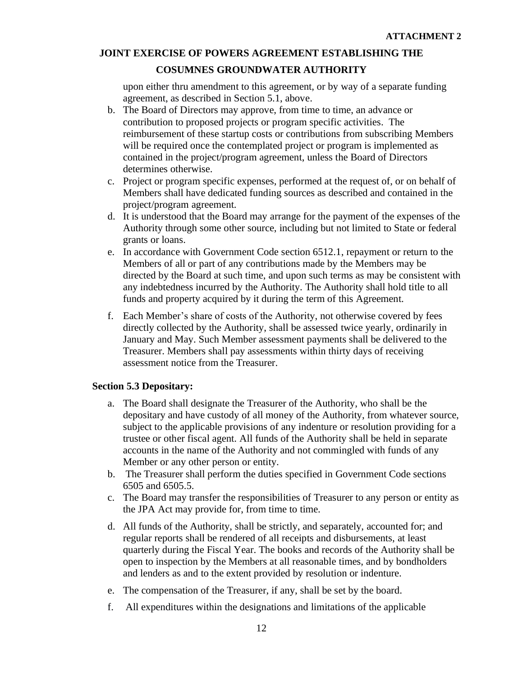# **COSUMNES GROUNDWATER AUTHORITY**

upon either thru amendment to this agreement, or by way of a separate funding agreement, as described in Section 5.1, above.

- b. The Board of Directors may approve, from time to time, an advance or contribution to proposed projects or program specific activities. The reimbursement of these startup costs or contributions from subscribing Members will be required once the contemplated project or program is implemented as contained in the project/program agreement, unless the Board of Directors determines otherwise.
- c. Project or program specific expenses, performed at the request of, or on behalf of Members shall have dedicated funding sources as described and contained in the project/program agreement.
- d. It is understood that the Board may arrange for the payment of the expenses of the Authority through some other source, including but not limited to State or federal grants or loans.
- e. In accordance with Government Code section 6512.1, repayment or return to the Members of all or part of any contributions made by the Members may be directed by the Board at such time, and upon such terms as may be consistent with any indebtedness incurred by the Authority. The Authority shall hold title to all funds and property acquired by it during the term of this Agreement.
- f. Each Member's share of costs of the Authority, not otherwise covered by fees directly collected by the Authority, shall be assessed twice yearly, ordinarily in January and May. Such Member assessment payments shall be delivered to the Treasurer. Members shall pay assessments within thirty days of receiving assessment notice from the Treasurer.

# **Section 5.3 Depositary:**

- a. The Board shall designate the Treasurer of the Authority, who shall be the depositary and have custody of all money of the Authority, from whatever source, subject to the applicable provisions of any indenture or resolution providing for a trustee or other fiscal agent. All funds of the Authority shall be held in separate accounts in the name of the Authority and not commingled with funds of any Member or any other person or entity.
- b. The Treasurer shall perform the duties specified in Government Code sections 6505 and 6505.5.
- c. The Board may transfer the responsibilities of Treasurer to any person or entity as the JPA Act may provide for, from time to time.
- d. All funds of the Authority, shall be strictly, and separately, accounted for; and regular reports shall be rendered of all receipts and disbursements, at least quarterly during the Fiscal Year. The books and records of the Authority shall be open to inspection by the Members at all reasonable times, and by bondholders and lenders as and to the extent provided by resolution or indenture.
- e. The compensation of the Treasurer, if any, shall be set by the board.
- f. All expenditures within the designations and limitations of the applicable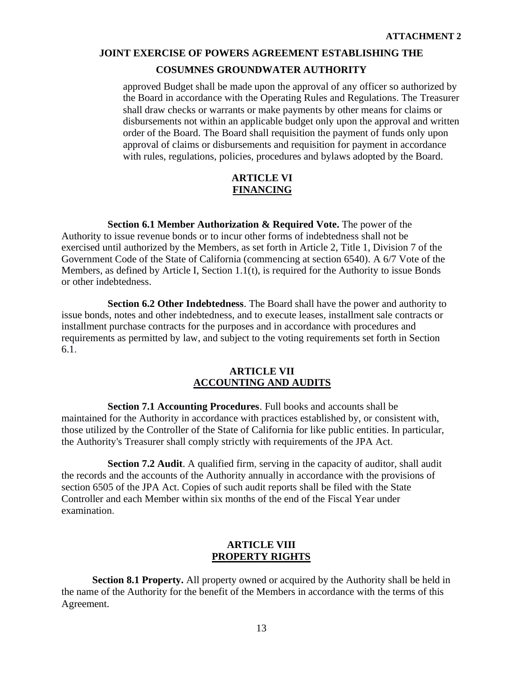#### **COSUMNES GROUNDWATER AUTHORITY**

approved Budget shall be made upon the approval of any officer so authorized by the Board in accordance with the Operating Rules and Regulations. The Treasurer shall draw checks or warrants or make payments by other means for claims or disbursements not within an applicable budget only upon the approval and written order of the Board. The Board shall requisition the payment of funds only upon approval of claims or disbursements and requisition for payment in accordance with rules, regulations, policies, procedures and bylaws adopted by the Board.

#### **ARTICLE VI FINANCING**

**Section 6.1 Member Authorization & Required Vote.** The power of the Authority to issue revenue bonds or to incur other forms of indebtedness shall not be exercised until authorized by the Members, as set forth in Article 2, Title 1, Division 7 of the Government Code of the State of California (commencing at section 6540). A 6/7 Vote of the Members, as defined by Article I, Section  $1.1(t)$ , is required for the Authority to issue Bonds or other indebtedness.

**Section 6.2 Other Indebtedness**. The Board shall have the power and authority to issue bonds, notes and other indebtedness, and to execute leases, installment sale contracts or installment purchase contracts for the purposes and in accordance with procedures and requirements as permitted by law, and subject to the voting requirements set forth in Section 6.1.

#### **ARTICLE VII ACCOUNTING AND AUDITS**

**Section 7.1 Accounting Procedures**. Full books and accounts shall be maintained for the Authority in accordance with practices established by, or consistent with, those utilized by the Controller of the State of California for like public entities. In particular, the Authority's Treasurer shall comply strictly with requirements of the JPA Act.

**Section 7.2 Audit**. A qualified firm, serving in the capacity of auditor, shall audit the records and the accounts of the Authority annually in accordance with the provisions of section 6505 of the JPA Act. Copies of such audit reports shall be filed with the State Controller and each Member within six months of the end of the Fiscal Year under examination.

#### **ARTICLE VIII PROPERTY RIGHTS**

**Section 8.1 Property.** All property owned or acquired by the Authority shall be held in the name of the Authority for the benefit of the Members in accordance with the terms of this Agreement.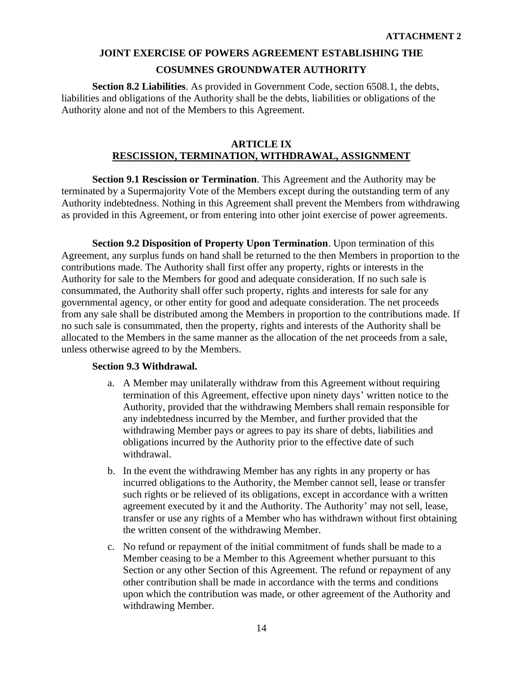**Section 8.2 Liabilities**. As provided in Government Code, section 6508.1, the debts, liabilities and obligations of the Authority shall be the debts, liabilities or obligations of the Authority alone and not of the Members to this Agreement.

# **ARTICLE IX RESCISSION, TERMINATION, WITHDRAWAL, ASSIGNMENT**

**Section 9.1 Rescission or Termination**. This Agreement and the Authority may be terminated by a Supermajority Vote of the Members except during the outstanding term of any Authority indebtedness. Nothing in this Agreement shall prevent the Members from withdrawing as provided in this Agreement, or from entering into other joint exercise of power agreements.

**Section 9.2 Disposition of Property Upon Termination**. Upon termination of this Agreement, any surplus funds on hand shall be returned to the then Members in proportion to the contributions made. The Authority shall first offer any property, rights or interests in the Authority for sale to the Members for good and adequate consideration. If no such sale is consummated, the Authority shall offer such property, rights and interests for sale for any governmental agency, or other entity for good and adequate consideration. The net proceeds from any sale shall be distributed among the Members in proportion to the contributions made. If no such sale is consummated, then the property, rights and interests of the Authority shall be allocated to the Members in the same manner as the allocation of the net proceeds from a sale, unless otherwise agreed to by the Members.

#### **Section 9.3 Withdrawal.**

- a. A Member may unilaterally withdraw from this Agreement without requiring termination of this Agreement, effective upon ninety days' written notice to the Authority, provided that the withdrawing Members shall remain responsible for any indebtedness incurred by the Member, and further provided that the withdrawing Member pays or agrees to pay its share of debts, liabilities and obligations incurred by the Authority prior to the effective date of such withdrawal.
- b. In the event the withdrawing Member has any rights in any property or has incurred obligations to the Authority, the Member cannot sell, lease or transfer such rights or be relieved of its obligations, except in accordance with a written agreement executed by it and the Authority. The Authority' may not sell, lease, transfer or use any rights of a Member who has withdrawn without first obtaining the written consent of the withdrawing Member.
- c. No refund or repayment of the initial commitment of funds shall be made to a Member ceasing to be a Member to this Agreement whether pursuant to this Section or any other Section of this Agreement. The refund or repayment of any other contribution shall be made in accordance with the terms and conditions upon which the contribution was made, or other agreement of the Authority and withdrawing Member.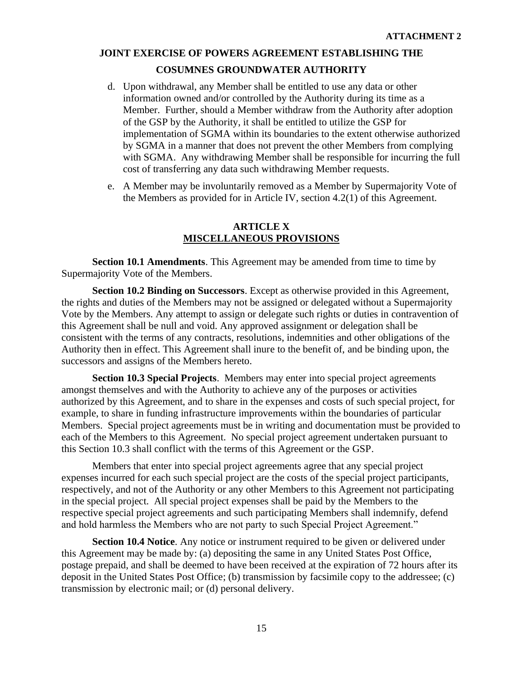- d. Upon withdrawal, any Member shall be entitled to use any data or other information owned and/or controlled by the Authority during its time as a Member. Further, should a Member withdraw from the Authority after adoption of the GSP by the Authority, it shall be entitled to utilize the GSP for implementation of SGMA within its boundaries to the extent otherwise authorized by SGMA in a manner that does not prevent the other Members from complying with SGMA. Any withdrawing Member shall be responsible for incurring the full cost of transferring any data such withdrawing Member requests.
- e. A Member may be involuntarily removed as a Member by Supermajority Vote of the Members as provided for in Article IV, section 4.2(1) of this Agreement.

#### **ARTICLE X MISCELLANEOUS PROVISIONS**

**Section 10.1 Amendments**. This Agreement may be amended from time to time by Supermajority Vote of the Members.

**Section 10.2 Binding on Successors**. Except as otherwise provided in this Agreement, the rights and duties of the Members may not be assigned or delegated without a Supermajority Vote by the Members. Any attempt to assign or delegate such rights or duties in contravention of this Agreement shall be null and void. Any approved assignment or delegation shall be consistent with the terms of any contracts, resolutions, indemnities and other obligations of the Authority then in effect. This Agreement shall inure to the benefit of, and be binding upon, the successors and assigns of the Members hereto.

**Section 10.3 Special Projects**. Members may enter into special project agreements amongst themselves and with the Authority to achieve any of the purposes or activities authorized by this Agreement, and to share in the expenses and costs of such special project, for example, to share in funding infrastructure improvements within the boundaries of particular Members. Special project agreements must be in writing and documentation must be provided to each of the Members to this Agreement. No special project agreement undertaken pursuant to this Section 10.3 shall conflict with the terms of this Agreement or the GSP.

Members that enter into special project agreements agree that any special project expenses incurred for each such special project are the costs of the special project participants, respectively, and not of the Authority or any other Members to this Agreement not participating in the special project. All special project expenses shall be paid by the Members to the respective special project agreements and such participating Members shall indemnify, defend and hold harmless the Members who are not party to such Special Project Agreement."

**Section 10.4 Notice**. Any notice or instrument required to be given or delivered under this Agreement may be made by: (a) depositing the same in any United States Post Office, postage prepaid, and shall be deemed to have been received at the expiration of 72 hours after its deposit in the United States Post Office; (b) transmission by facsimile copy to the addressee; (c) transmission by electronic mail; or (d) personal delivery.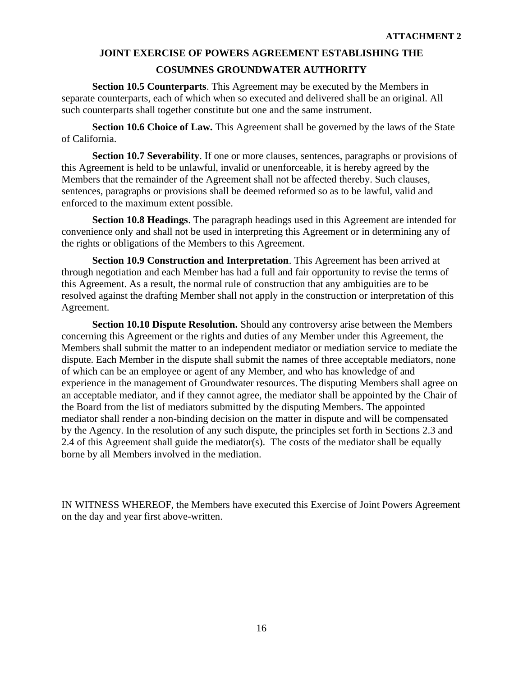**Section 10.5 Counterparts**. This Agreement may be executed by the Members in separate counterparts, each of which when so executed and delivered shall be an original. All such counterparts shall together constitute but one and the same instrument.

**Section 10.6 Choice of Law.** This Agreement shall be governed by the laws of the State of California.

**Section 10.7 Severability**. If one or more clauses, sentences, paragraphs or provisions of this Agreement is held to be unlawful, invalid or unenforceable, it is hereby agreed by the Members that the remainder of the Agreement shall not be affected thereby. Such clauses, sentences, paragraphs or provisions shall be deemed reformed so as to be lawful, valid and enforced to the maximum extent possible.

**Section 10.8 Headings**. The paragraph headings used in this Agreement are intended for convenience only and shall not be used in interpreting this Agreement or in determining any of the rights or obligations of the Members to this Agreement.

**Section 10.9 Construction and Interpretation**. This Agreement has been arrived at through negotiation and each Member has had a full and fair opportunity to revise the terms of this Agreement. As a result, the normal rule of construction that any ambiguities are to be resolved against the drafting Member shall not apply in the construction or interpretation of this Agreement.

**Section 10.10 Dispute Resolution.** Should any controversy arise between the Members concerning this Agreement or the rights and duties of any Member under this Agreement, the Members shall submit the matter to an independent mediator or mediation service to mediate the dispute. Each Member in the dispute shall submit the names of three acceptable mediators, none of which can be an employee or agent of any Member, and who has knowledge of and experience in the management of Groundwater resources. The disputing Members shall agree on an acceptable mediator, and if they cannot agree, the mediator shall be appointed by the Chair of the Board from the list of mediators submitted by the disputing Members. The appointed mediator shall render a non-binding decision on the matter in dispute and will be compensated by the Agency. In the resolution of any such dispute, the principles set forth in Sections 2.3 and 2.4 of this Agreement shall guide the mediator(s). The costs of the mediator shall be equally borne by all Members involved in the mediation.

IN WITNESS WHEREOF, the Members have executed this Exercise of Joint Powers Agreement on the day and year first above-written.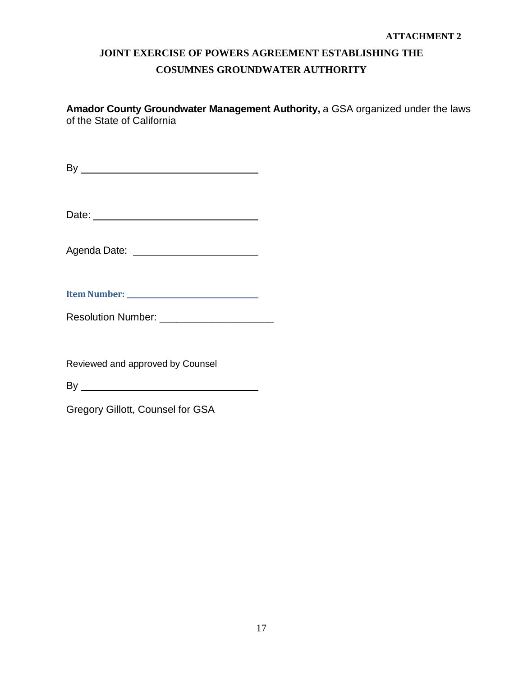**Amador County Groundwater Management Authority,** a GSA organized under the laws of the State of California

 $\mathsf{By} \_\_\_\$ 

Date:

Agenda Date:

| <b>Resolution Number:</b> |  |
|---------------------------|--|
|                           |  |

Reviewed and approved by Counsel

By

Gregory Gillott, Counsel for GSA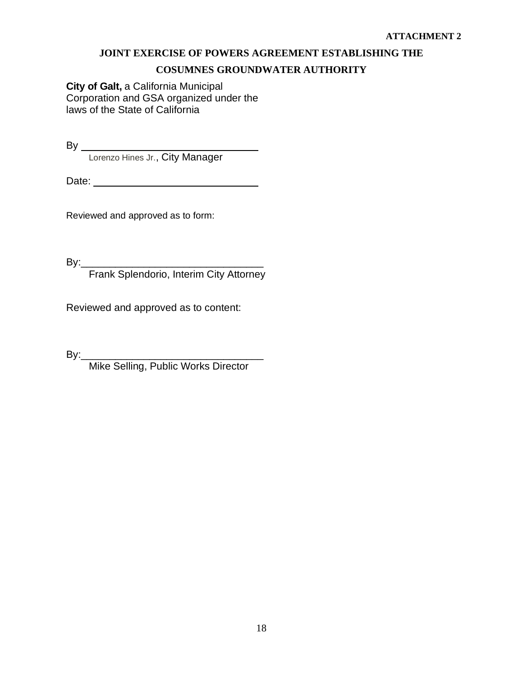# **COSUMNES GROUNDWATER AUTHORITY**

**City of Galt,** a California Municipal Corporation and GSA organized under the laws of the State of California

By

Lorenzo Hines Jr., City Manager

Date: <u>Date:</u>

Reviewed and approved as to form:

By:\_\_\_\_\_\_\_\_\_\_\_\_\_\_\_\_\_\_\_\_\_\_\_\_\_\_\_\_\_\_\_\_

Frank Splendorio, Interim City Attorney

Reviewed and approved as to content:

By:\_\_\_\_\_\_\_\_\_\_\_\_\_\_\_\_\_\_\_\_\_\_\_\_\_\_\_\_\_\_\_\_

Mike Selling, Public Works Director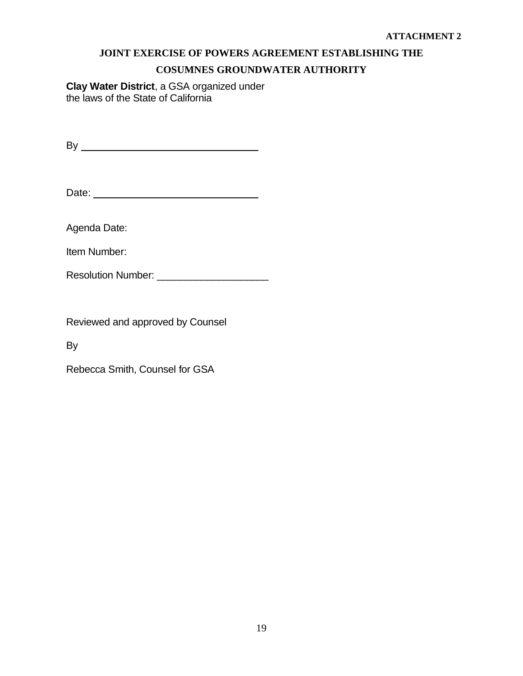# **COSUMNES GROUNDWATER AUTHORITY**

**Clay Water District**, a GSA organized under the laws of the State of California

By

Date:

Agenda Date:

Item Number:

Resolution Number: \_\_\_\_\_\_\_\_\_\_\_\_\_\_\_\_\_\_\_\_

Reviewed and approved by Counsel

By

Rebecca Smith, Counsel for GSA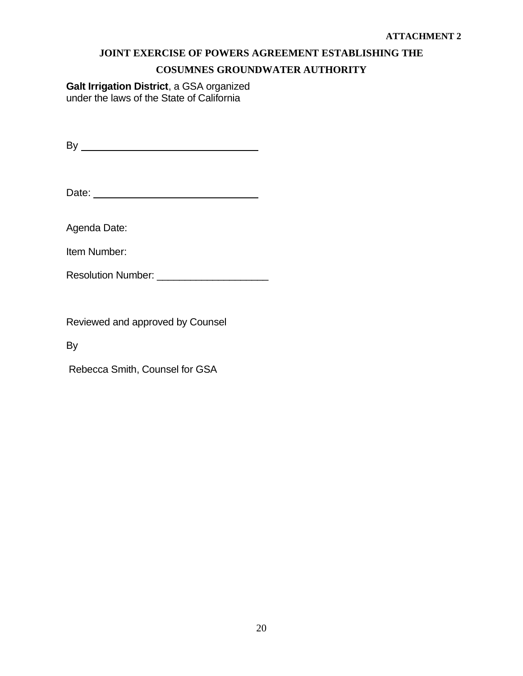# **COSUMNES GROUNDWATER AUTHORITY**

**Galt Irrigation District**, a GSA organized under the laws of the State of California

By

Date:

Agenda Date:

Item Number:

Resolution Number: \_\_\_\_\_\_\_\_\_\_\_\_\_\_\_\_\_\_\_\_

Reviewed and approved by Counsel

By

Rebecca Smith, Counsel for GSA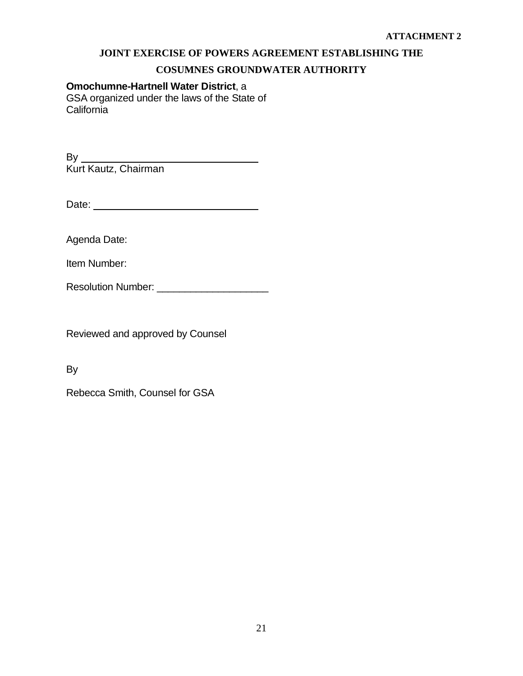# **COSUMNES GROUNDWATER AUTHORITY**

#### **Omochumne-Hartnell Water District**, a

GSA organized under the laws of the State of California

By Kurt Kautz, Chairman

Date:

Agenda Date:

Item Number:

Resolution Number: **Example 1** 

Reviewed and approved by Counsel

By

Rebecca Smith, Counsel for GSA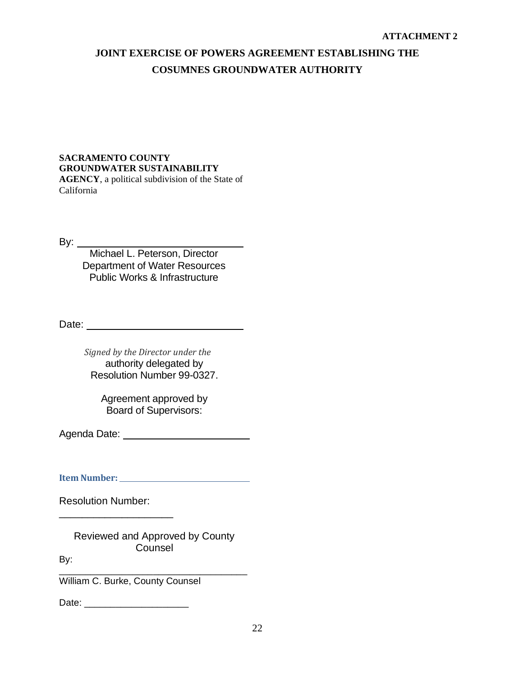#### **SACRAMENTO COUNTY GROUNDWATER SUSTAINABILITY AGENCY**, a political subdivision of the State of California

By:

Michael L. Peterson, Director Department of Water Resources Public Works & Infrastructure

Date:

*Signed by the Director under the* authority delegated by Resolution Number 99-0327.

> Agreement approved by Board of Supervisors:

Agenda Date:

**Item Number:** 

Resolution Number:

\_\_\_\_\_\_\_\_\_\_\_\_\_\_\_\_\_\_\_\_

Reviewed and Approved by County Counsel

By: \_\_\_\_\_\_\_\_\_\_\_\_\_\_\_\_\_\_\_\_\_\_\_\_\_\_\_\_\_\_\_\_\_\_\_\_

William C. Burke, County Counsel

Date:  $\Box$